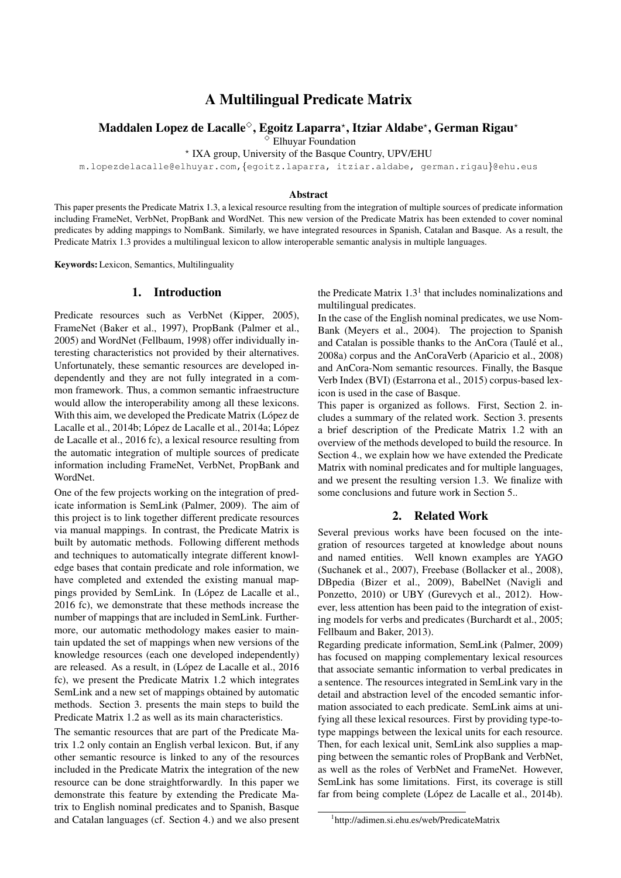# A Multilingual Predicate Matrix

# Maddalen Lopez de Lacalle $^\diamond$ , Egoitz Laparra\*, Itziar Aldabe\*, German Rigau\*

✸ Elhuyar Foundation

? IXA group, University of the Basque Country, UPV/EHU

m.lopezdelacalle@elhuyar.com,{egoitz.laparra, itziar.aldabe, german.rigau}@ehu.eus

#### Abstract

This paper presents the Predicate Matrix 1.3, a lexical resource resulting from the integration of multiple sources of predicate information including FrameNet, VerbNet, PropBank and WordNet. This new version of the Predicate Matrix has been extended to cover nominal predicates by adding mappings to NomBank. Similarly, we have integrated resources in Spanish, Catalan and Basque. As a result, the Predicate Matrix 1.3 provides a multilingual lexicon to allow interoperable semantic analysis in multiple languages.

Keywords: Lexicon, Semantics, Multilinguality

### 1. Introduction

Predicate resources such as VerbNet (Kipper, 2005), FrameNet (Baker et al., 1997), PropBank (Palmer et al., 2005) and WordNet (Fellbaum, 1998) offer individually interesting characteristics not provided by their alternatives. Unfortunately, these semantic resources are developed independently and they are not fully integrated in a common framework. Thus, a common semantic infraestructure would allow the interoperability among all these lexicons. With this aim, we developed the Predicate Matrix (López de Lacalle et al., 2014b; López de Lacalle et al., 2014a; López de Lacalle et al., 2016 fc), a lexical resource resulting from the automatic integration of multiple sources of predicate information including FrameNet, VerbNet, PropBank and WordNet.

One of the few projects working on the integration of predicate information is SemLink (Palmer, 2009). The aim of this project is to link together different predicate resources via manual mappings. In contrast, the Predicate Matrix is built by automatic methods. Following different methods and techniques to automatically integrate different knowledge bases that contain predicate and role information, we have completed and extended the existing manual mappings provided by SemLink. In (López de Lacalle et al., 2016 fc), we demonstrate that these methods increase the number of mappings that are included in SemLink. Furthermore, our automatic methodology makes easier to maintain updated the set of mappings when new versions of the knowledge resources (each one developed independently) are released. As a result, in (López de Lacalle et al., 2016) fc), we present the Predicate Matrix 1.2 which integrates SemLink and a new set of mappings obtained by automatic methods. Section 3. presents the main steps to build the Predicate Matrix 1.2 as well as its main characteristics.

The semantic resources that are part of the Predicate Matrix 1.2 only contain an English verbal lexicon. But, if any other semantic resource is linked to any of the resources included in the Predicate Matrix the integration of the new resource can be done straightforwardly. In this paper we demonstrate this feature by extending the Predicate Matrix to English nominal predicates and to Spanish, Basque and Catalan languages (cf. Section 4.) and we also present

the Predicate Matrix  $1.3<sup>1</sup>$  that includes nominalizations and multilingual predicates.

In the case of the English nominal predicates, we use Nom-Bank (Meyers et al., 2004). The projection to Spanish and Catalan is possible thanks to the AnCora (Taulé et al., 2008a) corpus and the AnCoraVerb (Aparicio et al., 2008) and AnCora-Nom semantic resources. Finally, the Basque Verb Index (BVI) (Estarrona et al., 2015) corpus-based lexicon is used in the case of Basque.

This paper is organized as follows. First, Section 2. includes a summary of the related work. Section 3. presents a brief description of the Predicate Matrix 1.2 with an overview of the methods developed to build the resource. In Section 4., we explain how we have extended the Predicate Matrix with nominal predicates and for multiple languages, and we present the resulting version 1.3. We finalize with some conclusions and future work in Section 5..

#### 2. Related Work

Several previous works have been focused on the integration of resources targeted at knowledge about nouns and named entities. Well known examples are YAGO (Suchanek et al., 2007), Freebase (Bollacker et al., 2008), DBpedia (Bizer et al., 2009), BabelNet (Navigli and Ponzetto, 2010) or UBY (Gurevych et al., 2012). However, less attention has been paid to the integration of existing models for verbs and predicates (Burchardt et al., 2005; Fellbaum and Baker, 2013).

Regarding predicate information, SemLink (Palmer, 2009) has focused on mapping complementary lexical resources that associate semantic information to verbal predicates in a sentence. The resources integrated in SemLink vary in the detail and abstraction level of the encoded semantic information associated to each predicate. SemLink aims at unifying all these lexical resources. First by providing type-totype mappings between the lexical units for each resource. Then, for each lexical unit, SemLink also supplies a mapping between the semantic roles of PropBank and VerbNet, as well as the roles of VerbNet and FrameNet. However, SemLink has some limitations. First, its coverage is still far from being complete (López de Lacalle et al., 2014b).

<sup>1</sup> http://adimen.si.ehu.es/web/PredicateMatrix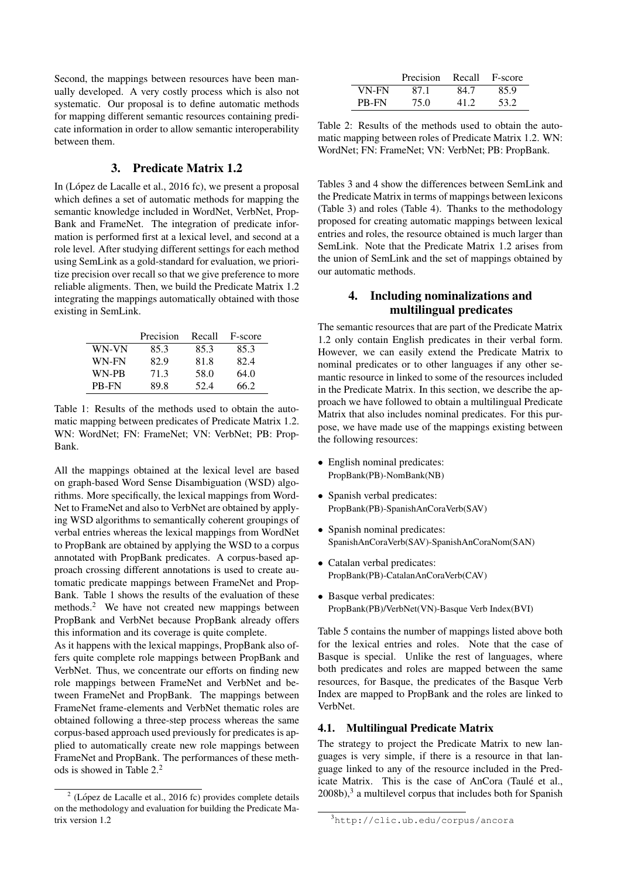Second, the mappings between resources have been manually developed. A very costly process which is also not systematic. Our proposal is to define automatic methods for mapping different semantic resources containing predicate information in order to allow semantic interoperability between them.

# 3. Predicate Matrix 1.2

In (López de Lacalle et al.,  $2016$  fc), we present a proposal which defines a set of automatic methods for mapping the semantic knowledge included in WordNet, VerbNet, Prop-Bank and FrameNet. The integration of predicate information is performed first at a lexical level, and second at a role level. After studying different settings for each method using SemLink as a gold-standard for evaluation, we prioritize precision over recall so that we give preference to more reliable aligments. Then, we build the Predicate Matrix 1.2 integrating the mappings automatically obtained with those existing in SemLink.

|       | Precision | Recall | F-score |
|-------|-----------|--------|---------|
| WN-VN | 85.3      | 85.3   | 85.3    |
| WN-FN | 82.9      | 81.8   | 82.4    |
| WN-PB | 71.3      | 58.0   | 64.0    |
| PB-FN | 89.8      | 52.4   | 66.2    |

Table 1: Results of the methods used to obtain the automatic mapping between predicates of Predicate Matrix 1.2. WN: WordNet; FN: FrameNet; VN: VerbNet; PB: Prop-Bank.

All the mappings obtained at the lexical level are based on graph-based Word Sense Disambiguation (WSD) algorithms. More specifically, the lexical mappings from Word-Net to FrameNet and also to VerbNet are obtained by applying WSD algorithms to semantically coherent groupings of verbal entries whereas the lexical mappings from WordNet to PropBank are obtained by applying the WSD to a corpus annotated with PropBank predicates. A corpus-based approach crossing different annotations is used to create automatic predicate mappings between FrameNet and Prop-Bank. Table 1 shows the results of the evaluation of these methods.<sup>2</sup> We have not created new mappings between PropBank and VerbNet because PropBank already offers this information and its coverage is quite complete.

As it happens with the lexical mappings, PropBank also offers quite complete role mappings between PropBank and VerbNet. Thus, we concentrate our efforts on finding new role mappings between FrameNet and VerbNet and between FrameNet and PropBank. The mappings between FrameNet frame-elements and VerbNet thematic roles are obtained following a three-step process whereas the same corpus-based approach used previously for predicates is applied to automatically create new role mappings between FrameNet and PropBank. The performances of these methods is showed in Table 2.<sup>2</sup>

|       | Precision | Recall | F-score |
|-------|-----------|--------|---------|
| VN-FN | 87 1      | 84.7   | 85.9    |
| PB-FN | 75.0      | 41 2   | 53.2    |

Table 2: Results of the methods used to obtain the automatic mapping between roles of Predicate Matrix 1.2. WN: WordNet; FN: FrameNet; VN: VerbNet; PB: PropBank.

Tables 3 and 4 show the differences between SemLink and the Predicate Matrix in terms of mappings between lexicons (Table 3) and roles (Table 4). Thanks to the methodology proposed for creating automatic mappings between lexical entries and roles, the resource obtained is much larger than SemLink. Note that the Predicate Matrix 1.2 arises from the union of SemLink and the set of mappings obtained by our automatic methods.

# 4. Including nominalizations and multilingual predicates

The semantic resources that are part of the Predicate Matrix 1.2 only contain English predicates in their verbal form. However, we can easily extend the Predicate Matrix to nominal predicates or to other languages if any other semantic resource in linked to some of the resources included in the Predicate Matrix. In this section, we describe the approach we have followed to obtain a multilingual Predicate Matrix that also includes nominal predicates. For this purpose, we have made use of the mappings existing between the following resources:

- English nominal predicates: PropBank(PB)-NomBank(NB)
- Spanish verbal predicates: PropBank(PB)-SpanishAnCoraVerb(SAV)
- Spanish nominal predicates: SpanishAnCoraVerb(SAV)-SpanishAnCoraNom(SAN)
- Catalan verbal predicates: PropBank(PB)-CatalanAnCoraVerb(CAV)
- Basque verbal predicates: PropBank(PB)/VerbNet(VN)-Basque Verb Index(BVI)

Table 5 contains the number of mappings listed above both for the lexical entries and roles. Note that the case of Basque is special. Unlike the rest of languages, where both predicates and roles are mapped between the same resources, for Basque, the predicates of the Basque Verb Index are mapped to PropBank and the roles are linked to VerbNet.

## 4.1. Multilingual Predicate Matrix

The strategy to project the Predicate Matrix to new languages is very simple, if there is a resource in that language linked to any of the resource included in the Predicate Matrix. This is the case of AnCora (Taulé et al., 2008b),<sup>3</sup> a multilevel corpus that includes both for Spanish

 $2$  (López de Lacalle et al., 2016 fc) provides complete details on the methodology and evaluation for building the Predicate Matrix version 1.2

<sup>3</sup>http://clic.ub.edu/corpus/ancora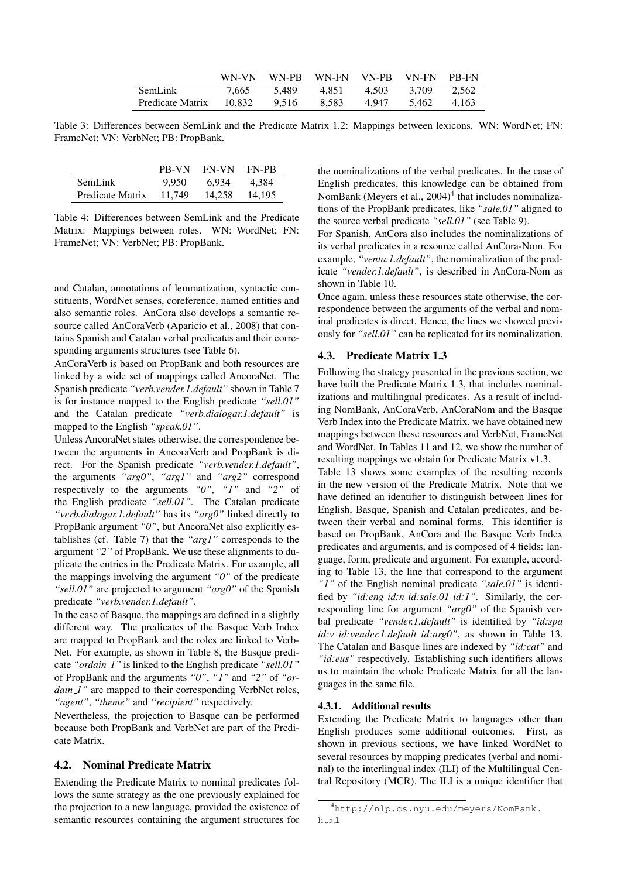|                  | WN-VN  | WN-PR | WN-FN | VN-PR | VN-FN | PR-FN |
|------------------|--------|-------|-------|-------|-------|-------|
| <b>SemLink</b>   | 7.665  | 5.489 | 4.851 | 4.503 | 3.709 | 2.562 |
| Predicate Matrix | 10,832 | 9.516 | 8.583 | 4.947 | 5.462 | 4.163 |

Table 3: Differences between SemLink and the Predicate Matrix 1.2: Mappings between lexicons. WN: WordNet; FN: FrameNet; VN: VerbNet; PB: PropBank.

|                  | PB-VN  | <b>FN-VN</b> | FN-PB  |
|------------------|--------|--------------|--------|
| <b>SemLink</b>   | 9.950  | 6.934        | 4,384  |
| Predicate Matrix | 11.749 | 14.258       | 14,195 |

Table 4: Differences between SemLink and the Predicate Matrix: Mappings between roles. WN: WordNet; FN: FrameNet; VN: VerbNet; PB: PropBank.

and Catalan, annotations of lemmatization, syntactic constituents, WordNet senses, coreference, named entities and also semantic roles. AnCora also develops a semantic resource called AnCoraVerb (Aparicio et al., 2008) that contains Spanish and Catalan verbal predicates and their corresponding arguments structures (see Table 6).

AnCoraVerb is based on PropBank and both resources are linked by a wide set of mappings called AncoraNet. The Spanish predicate *"verb.vender.1.default"* shown in Table 7 is for instance mapped to the English predicate *"sell.01"* and the Catalan predicate *"verb.dialogar.1.default"* is mapped to the English *"speak.01"*.

Unless AncoraNet states otherwise, the correspondence between the arguments in AncoraVerb and PropBank is direct. For the Spanish predicate *"verb.vender.1.default"*, the arguments *"arg0"*, *"arg1"* and *"arg2"* correspond respectively to the arguments *"0"*, *"1"* and *"2"* of the English predicate *"sell.01"*. The Catalan predicate *"verb.dialogar.1.default"* has its *"arg0"* linked directly to PropBank argument *"0"*, but AncoraNet also explicitly establishes (cf. Table 7) that the *"arg1"* corresponds to the argument *"2"* of PropBank. We use these alignments to duplicate the entries in the Predicate Matrix. For example, all the mappings involving the argument *"0"* of the predicate *"sell.01"* are projected to argument *"arg0"* of the Spanish predicate *"verb.vender.1.default"*.

In the case of Basque, the mappings are defined in a slightly different way. The predicates of the Basque Verb Index are mapped to PropBank and the roles are linked to Verb-Net. For example, as shown in Table 8, the Basque predicate *"ordain 1"* is linked to the English predicate *"sell.01"* of PropBank and the arguments *"0"*, *"1"* and *"2"* of *"ordain 1*" are mapped to their corresponding VerbNet roles, *"agent"*, *"theme"* and *"recipient"* respectively.

Nevertheless, the projection to Basque can be performed because both PropBank and VerbNet are part of the Predicate Matrix.

#### 4.2. Nominal Predicate Matrix

Extending the Predicate Matrix to nominal predicates follows the same strategy as the one previously explained for the projection to a new language, provided the existence of semantic resources containing the argument structures for the nominalizations of the verbal predicates. In the case of English predicates, this knowledge can be obtained from NomBank (Meyers et al., 2004)<sup>4</sup> that includes nominalizations of the PropBank predicates, like *"sale.01"* aligned to the source verbal predicate *"sell.01"* (see Table 9).

For Spanish, AnCora also includes the nominalizations of its verbal predicates in a resource called AnCora-Nom. For example, *"venta.1.default"*, the nominalization of the predicate *"vender.1.default"*, is described in AnCora-Nom as shown in Table 10.

Once again, unless these resources state otherwise, the correspondence between the arguments of the verbal and nominal predicates is direct. Hence, the lines we showed previously for *"sell.01"* can be replicated for its nominalization.

#### 4.3. Predicate Matrix 1.3

Following the strategy presented in the previous section, we have built the Predicate Matrix 1.3, that includes nominalizations and multilingual predicates. As a result of including NomBank, AnCoraVerb, AnCoraNom and the Basque Verb Index into the Predicate Matrix, we have obtained new mappings between these resources and VerbNet, FrameNet and WordNet. In Tables 11 and 12, we show the number of resulting mappings we obtain for Predicate Matrix v1.3.

Table 13 shows some examples of the resulting records in the new version of the Predicate Matrix. Note that we have defined an identifier to distinguish between lines for English, Basque, Spanish and Catalan predicates, and between their verbal and nominal forms. This identifier is based on PropBank, AnCora and the Basque Verb Index predicates and arguments, and is composed of 4 fields: language, form, predicate and argument. For example, according to Table 13, the line that correspond to the argument *"1"* of the English nominal predicate *"sale.01"* is identified by *"id:eng id:n id:sale.01 id:1"*. Similarly, the corresponding line for argument *"arg0"* of the Spanish verbal predicate *"vender.1.default"* is identified by *"id:spa id:v id:vender.1.default id:arg0"*, as shown in Table 13. The Catalan and Basque lines are indexed by *"id:cat"* and *"id:eus"* respectively. Establishing such identifiers allows us to maintain the whole Predicate Matrix for all the languages in the same file.

#### 4.3.1. Additional results

Extending the Predicate Matrix to languages other than English produces some additional outcomes. First, as shown in previous sections, we have linked WordNet to several resources by mapping predicates (verbal and nominal) to the interlingual index (ILI) of the Multilingual Central Repository (MCR). The ILI is a unique identifier that

<sup>4</sup>http://nlp.cs.nyu.edu/meyers/NomBank. html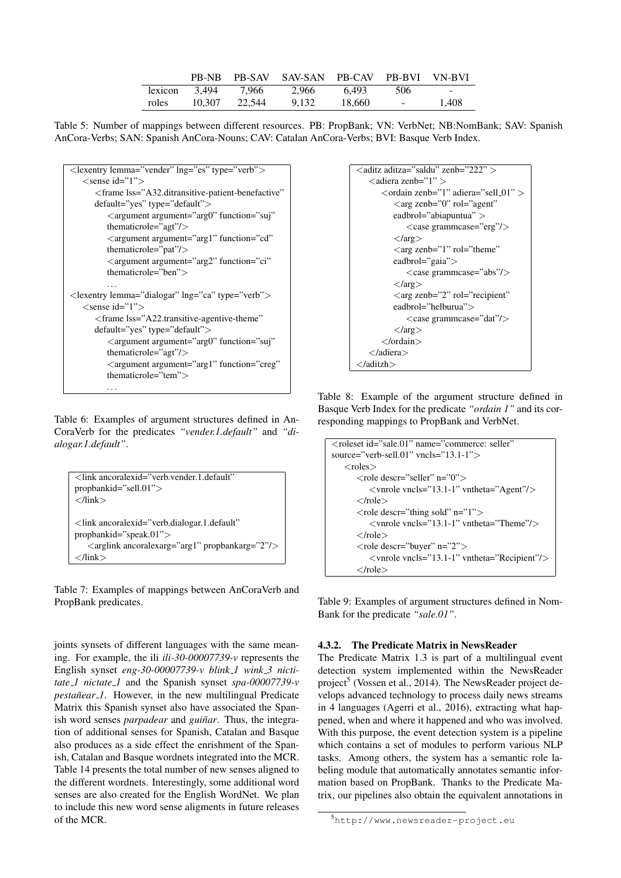|         |        |        | PB-NB PB-SAV SAV-SAN PB-CAV PB-BVI VN-BVI |        |                         |       |
|---------|--------|--------|-------------------------------------------|--------|-------------------------|-------|
| lexicon | 3.494  | 7.966  | 2.966                                     | 6.493  | 506                     | ۰.    |
| roles   | 10.307 | 22.544 | 9.132                                     | 18.660 | and the contract of the | 1.408 |

Table 5: Number of mappings between different resources. PB: PropBank; VN: VerbNet; NB:NomBank; SAV: Spanish AnCora-Verbs; SAN: Spanish AnCora-Nouns; CAV: Catalan AnCora-Verbs; BVI: Basque Verb Index.



Table 6: Examples of argument structures defined in An-CoraVerb for the predicates *"vender.1.default"* and *"dialogar.1.default"*.

```
<link ancoralexid="verb.vender.1.default"
propbankid="sell.01">
</link>
<link ancoralexid="verb.dialogar.1.default"
propbankid="speak.01">
   <arglink ancoralexarg="arg1" propbankarg="2"/>
</link>
```
Table 7: Examples of mappings between AnCoraVerb and PropBank predicates.

joints synsets of different languages with the same meaning. For example, the ili *ili-30-00007739-v* represents the English synset eng-30-00007739-v blink<sub>-1</sub> wink<sub>-3</sub> nicti*tate 1 nictate 1* and the Spanish synset *spa-00007739-v pestañear\_1*. However, in the new multilingual Predicate Matrix this Spanish synset also have associated the Spanish word senses *parpadear* and *guiñar*. Thus, the integration of additional senses for Spanish, Catalan and Basque also produces as a side effect the enrishment of the Spanish, Catalan and Basque wordnets integrated into the MCR. Table 14 presents the total number of new senses aligned to the different wordnets. Interestingly, some additional word senses are also created for the English WordNet. We plan to include this new word sense aligments in future releases of the MCR.



Table 8: Example of the argument structure defined in Basque Verb Index for the predicate *"ordain 1"* and its corresponding mappings to PropBank and VerbNet.

```
<roleset id="sale.01" name="commerce: seller"
source="verb-sell.01" vncls="13.1-1">
   <roles>
      <role descr="seller" n="0">
          <vnrole vncls="13.1-1" vntheta="Agent"/>
      \langle /role \rangle\langlerole descr="thing sold" n="1"><vnrole vncls="13.1-1" vntheta="Theme"/>
      </role><role descr="buyer" n="2">
          <vnrole vncls="13.1-1" vntheta="Recipient"/>
      \langlerole>
```
Table 9: Examples of argument structures defined in Nom-Bank for the predicate *"sale.01"*.

### 4.3.2. The Predicate Matrix in NewsReader

The Predicate Matrix 1.3 is part of a multilingual event detection system implemented within the NewsReader project<sup>5</sup> (Vossen et al., 2014). The NewsReader project develops advanced technology to process daily news streams in 4 languages (Agerri et al., 2016), extracting what happened, when and where it happened and who was involved. With this purpose, the event detection system is a pipeline which contains a set of modules to perform various NLP tasks. Among others, the system has a semantic role labeling module that automatically annotates semantic information based on PropBank. Thanks to the Predicate Matrix, our pipelines also obtain the equivalent annotations in

<sup>5</sup>http://www.newsreader-project.eu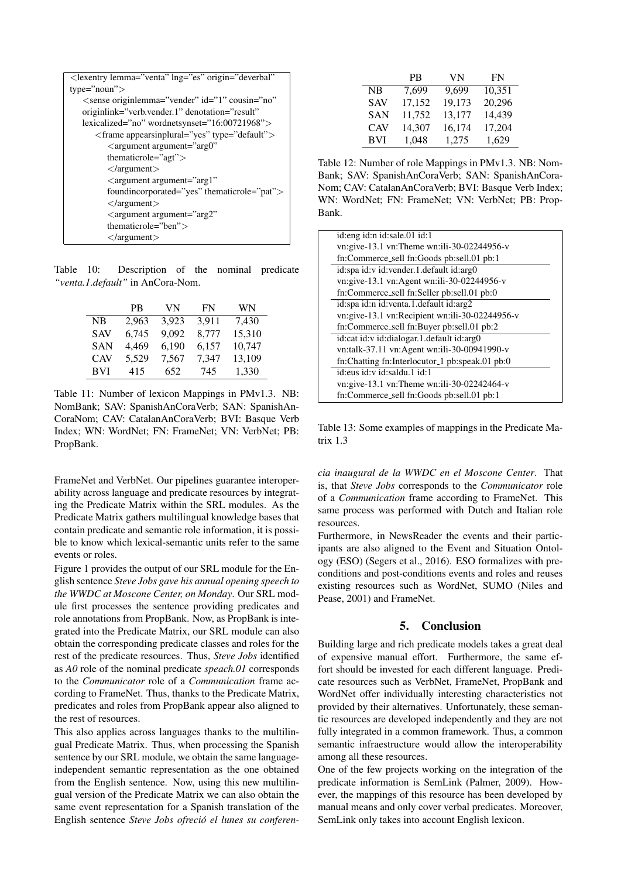| <lexentry <="" lemma="venta" lng="es" origin="deverbal" td=""></lexentry> |
|---------------------------------------------------------------------------|
| $type="noun">$                                                            |
| <sense <="" cousin="no" id="1" originlemma="vender" td=""></sense>        |
| originlink="verb.vender.1" denotation="result"                            |
| lexicalized="no" wordnetsynset="16:00721968">                             |
| $\langle$ frame appearsinplural="yes" type="default">                     |
| $\langle$ argument argument="arg0"                                        |
| thematicrole=" $agt$ ">                                                   |
| $\langle$ /argument $\rangle$                                             |
| $\langle$ argument argument="arg1"                                        |
| foundincorporated="yes" thematicrole="pat">                               |
| $\langle$ /argument $\rangle$                                             |
| $\langle$ argument argument="arg2"                                        |
| thematicrole="ben" $>$                                                    |
| $\langle$ /argument $\rangle$                                             |

Table 10: Description of the nominal predicate *"venta.1.default"* in AnCora-Nom.

|            | <b>PB</b> | VN    | FN    | WN     |
|------------|-----------|-------|-------|--------|
| NB         | 2,963     | 3,923 | 3.911 | 7,430  |
| <b>SAV</b> | 6,745     | 9.092 | 8,777 | 15,310 |
| <b>SAN</b> | 4,469     | 6,190 | 6,157 | 10,747 |
| <b>CAV</b> | 5,529     | 7,567 | 7,347 | 13,109 |
| <b>BVI</b> | 415       | 652   | 745   | 1,330  |

Table 11: Number of lexicon Mappings in PMv1.3. NB: NomBank; SAV: SpanishAnCoraVerb; SAN: SpanishAn-CoraNom; CAV: CatalanAnCoraVerb; BVI: Basque Verb Index; WN: WordNet; FN: FrameNet; VN: VerbNet; PB: PropBank.

FrameNet and VerbNet. Our pipelines guarantee interoperability across language and predicate resources by integrating the Predicate Matrix within the SRL modules. As the Predicate Matrix gathers multilingual knowledge bases that contain predicate and semantic role information, it is possible to know which lexical-semantic units refer to the same events or roles.

Figure 1 provides the output of our SRL module for the English sentence *Steve Jobs gave his annual opening speech to the WWDC at Moscone Center, on Monday*. Our SRL module first processes the sentence providing predicates and role annotations from PropBank. Now, as PropBank is integrated into the Predicate Matrix, our SRL module can also obtain the corresponding predicate classes and roles for the rest of the predicate resources. Thus, *Steve Jobs* identified as *A0* role of the nominal predicate *speach.01* corresponds to the *Communicator* role of a *Communication* frame according to FrameNet. Thus, thanks to the Predicate Matrix, predicates and roles from PropBank appear also aligned to the rest of resources.

This also applies across languages thanks to the multilingual Predicate Matrix. Thus, when processing the Spanish sentence by our SRL module, we obtain the same languageindependent semantic representation as the one obtained from the English sentence. Now, using this new multilingual version of the Predicate Matrix we can also obtain the same event representation for a Spanish translation of the English sentence *Steve Jobs ofrecio el lunes su conferen- ´*

|            | <b>PB</b> | VN     | <b>FN</b> |
|------------|-----------|--------|-----------|
| NB         | 7,699     | 9.699  | 10,351    |
| <b>SAV</b> | 17,152    | 19,173 | 20,296    |
| <b>SAN</b> | 11,752    | 13,177 | 14,439    |
| <b>CAV</b> | 14,307    | 16,174 | 17,204    |
| <b>BVI</b> | 1,048     | 1,275  | 1,629     |

Table 12: Number of role Mappings in PMv1.3. NB: Nom-Bank; SAV: SpanishAnCoraVerb; SAN: SpanishAnCora-Nom; CAV: CatalanAnCoraVerb; BVI: Basque Verb Index; WN: WordNet; FN: FrameNet; VN: VerbNet; PB: Prop-Bank.

| id: eng id: n id: sale. 01 id: 1               |
|------------------------------------------------|
| vn:give-13.1 vn:Theme wn:ili-30-02244956-v     |
| fn:Commerce_sell fn:Goods pb:sell.01 pb:1      |
| id:spa id:v id:vender.1.default id:arg0        |
| vn:give-13.1 vn:Agent wn:ili-30-02244956-v     |
| fn:Commerce_sell fn:Seller pb:sell.01 pb:0     |
| id:spa id:n id:venta.1.default id:arg2         |
| vn:give-13.1 vn:Recipient wn:ili-30-02244956-v |
| fn:Commerce_sell fn:Buyer pb:sell.01 pb:2      |
| id:cat id:v id:dialogar.1.default id:arg0      |
| vn:talk-37.11 vn:Agent wn:ili-30-00941990-v    |
| fn:Chatting fn:Interlocutor_1 pb:speak.01 pb:0 |
| id:eus id:y id:saldu.1 id:1                    |
| vn:give-13.1 vn:Theme wn:ili-30-02242464-v     |
| fn:Commerce_sell fn:Goods pb:sell.01 pb:1      |
|                                                |

Table 13: Some examples of mappings in the Predicate Matrix 1.3

*cia inaugural de la WWDC en el Moscone Center*. That is, that *Steve Jobs* corresponds to the *Communicator* role of a *Communication* frame according to FrameNet. This same process was performed with Dutch and Italian role resources.

Furthermore, in NewsReader the events and their participants are also aligned to the Event and Situation Ontology (ESO) (Segers et al., 2016). ESO formalizes with preconditions and post-conditions events and roles and reuses existing resources such as WordNet, SUMO (Niles and Pease, 2001) and FrameNet.

## 5. Conclusion

Building large and rich predicate models takes a great deal of expensive manual effort. Furthermore, the same effort should be invested for each different language. Predicate resources such as VerbNet, FrameNet, PropBank and WordNet offer individually interesting characteristics not provided by their alternatives. Unfortunately, these semantic resources are developed independently and they are not fully integrated in a common framework. Thus, a common semantic infraestructure would allow the interoperability among all these resources.

One of the few projects working on the integration of the predicate information is SemLink (Palmer, 2009). However, the mappings of this resource has been developed by manual means and only cover verbal predicates. Moreover, SemLink only takes into account English lexicon.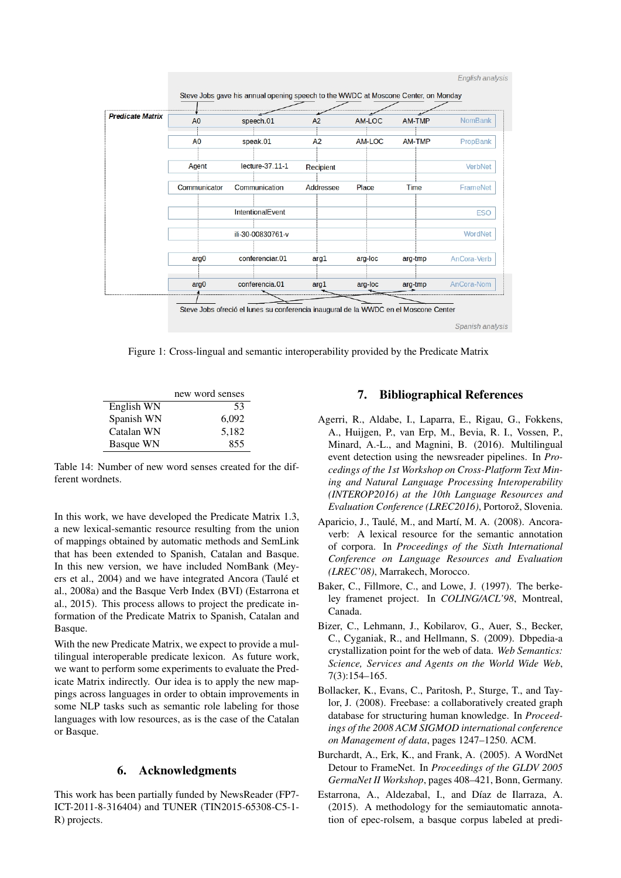

Figure 1: Cross-lingual and semantic interoperability provided by the Predicate Matrix

|                  | new word senses |
|------------------|-----------------|
| English WN       | 53              |
| Spanish WN       | 6,092           |
| Catalan WN       | 5,182           |
| <b>Basque WN</b> | 855             |

Table 14: Number of new word senses created for the different wordnets.

In this work, we have developed the Predicate Matrix 1.3, a new lexical-semantic resource resulting from the union of mappings obtained by automatic methods and SemLink that has been extended to Spanish, Catalan and Basque. In this new version, we have included NomBank (Meyers et al., 2004) and we have integrated Ancora (Taulé et al., 2008a) and the Basque Verb Index (BVI) (Estarrona et al., 2015). This process allows to project the predicate information of the Predicate Matrix to Spanish, Catalan and Basque.

With the new Predicate Matrix, we expect to provide a multilingual interoperable predicate lexicon. As future work, we want to perform some experiments to evaluate the Predicate Matrix indirectly. Our idea is to apply the new mappings across languages in order to obtain improvements in some NLP tasks such as semantic role labeling for those languages with low resources, as is the case of the Catalan or Basque.

# 6. Acknowledgments

This work has been partially funded by NewsReader (FP7- ICT-2011-8-316404) and TUNER (TIN2015-65308-C5-1- R) projects.

# 7. Bibliographical References

- Agerri, R., Aldabe, I., Laparra, E., Rigau, G., Fokkens, A., Huijgen, P., van Erp, M., Bevia, R. I., Vossen, P., Minard, A.-L., and Magnini, B. (2016). Multilingual event detection using the newsreader pipelines. In *Procedings of the 1st Workshop on Cross-Platform Text Mining and Natural Language Processing Interoperability (INTEROP2016) at the 10th Language Resources and*  $Evaluation$  Conference (LREC2016), Portorož, Slovenia.
- Aparicio, J., Taulé, M., and Martí, M. A. (2008). Ancoraverb: A lexical resource for the semantic annotation of corpora. In *Proceedings of the Sixth International Conference on Language Resources and Evaluation (LREC'08)*, Marrakech, Morocco.
- Baker, C., Fillmore, C., and Lowe, J. (1997). The berkeley framenet project. In *COLING/ACL'98*, Montreal, Canada.
- Bizer, C., Lehmann, J., Kobilarov, G., Auer, S., Becker, C., Cyganiak, R., and Hellmann, S. (2009). Dbpedia-a crystallization point for the web of data. *Web Semantics: Science, Services and Agents on the World Wide Web*, 7(3):154–165.
- Bollacker, K., Evans, C., Paritosh, P., Sturge, T., and Taylor, J. (2008). Freebase: a collaboratively created graph database for structuring human knowledge. In *Proceedings of the 2008 ACM SIGMOD international conference on Management of data*, pages 1247–1250. ACM.
- Burchardt, A., Erk, K., and Frank, A. (2005). A WordNet Detour to FrameNet. In *Proceedings of the GLDV 2005 GermaNet II Workshop*, pages 408–421, Bonn, Germany.
- Estarrona, A., Aldezabal, I., and Díaz de Ilarraza, A. (2015). A methodology for the semiautomatic annotation of epec-rolsem, a basque corpus labeled at predi-